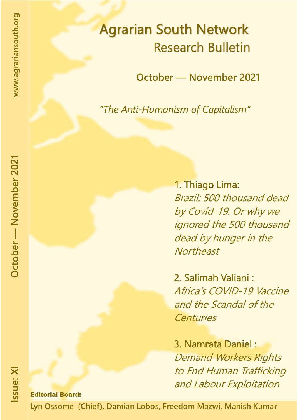# **Agrarian South Network Research Bulletin**

October - November 2021

"The Anti-Humanism of Capitalism"

1. Thiago Lima: Brazil: 500 thousand dead by Covid-19. Or why we ignored the 500 thousand dead by hunger in the Northeast

2. Salimah Valiani: Africa's COVID-19 Vaccine and the Scandal of the Centuries

3. Namrata Daniel: **Demand Workers Rights** to End Human Trafficking and Labour Exploitation

**Editorial Board:** 

Lyn Ossome (Chief), Damián Lobos, Freedom Mazwi, Manish Kumar

October - November 2021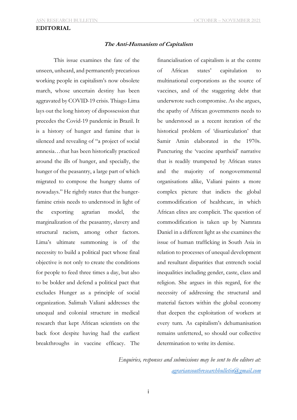## **EDITORIAL**

#### **The Anti-Humanism of Capitalism**

This issue examines the fate of the unseen, unheard, and permanently precarious working people in capitalism's now obsolete march, whose uncertain destiny has been aggravated by COVID-19 crisis. Thiago Lima lays out the long history of dispossession that precedes the Covid-19 pandemic in Brazil. It is a history of hunger and famine that is silenced and revealing of "a project of social amnesia…that has been historically practiced around the ills of hunger, and specially, the hunger of the peasantry, a large part of which migrated to compose the hungry slums of nowadays." He rightly states that the hungerfamine crisis needs to understood in light of the exporting agrarian model, the marginalization of the peasantry, slavery and structural racism, among other factors. Lima's ultimate summoning is of the necessity to build a political pact whose final objective is not only to create the conditions for people to feed three times a day, but also to be bolder and defend a political pact that excludes Hunger as a principle of social organization. Salimah Valiani addresses the unequal and colonial structure in medical research that kept African scientists on the back foot despite having had the earliest breakthroughs in vaccine efficacy. The

financialisation of capitalism is at the centre of African states' capitulation to multinational corporations as the source of vaccines, and of the staggering debt that underwrote such compromise. As she argues, the apathy of African governments needs to be understood as a recent iteration of the historical problem of 'disarticulation' that Samir Amin elaborated in the 1970s. Puncturing the 'vaccine apartheid' narrative that is readily trumpeted by African states and the majority of nongovernmental organisations alike, Valiani paints a more complex picture that indicts the global commodification of healthcare, in which African elites are complicit. The question of commodification is taken up by Namrata Daniel in a different light as she examines the issue of human trafficking in South Asia in relation to processes of unequal development and resultant disparities that entrench social inequalities including gender, caste, class and religion. She argues in this regard, for the necessity of addressing the structural and material factors within the global economy that deepen the exploitation of workers at every turn. As capitalism's dehumanisation remains unfettered, so should our collective determination to write its demise.

*Enquiries, responses and submissions may be sent to the editors at: agrariansouthresearchbulletin@gmail.com*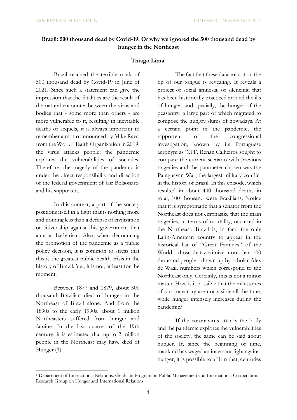# **Brazil: 500 thousand dead by Covid-19. Or why we ignored the 500 thousand dead by hunger in the Northeast**

# **Thiago Lima**<sup>1</sup>

Brazil reached the terrible mark of 500 thousand dead by Covid-19 in June of 2021. Since such a statement can give the impression that the fatalities are the result of the natural encounter between the virus and bodies that - some more than others - are more vulnerable to it, resulting in inevitable deaths or sequels, it is always important to remember a motto announced by Mike Rays, from the World Health Organization in 2019: the virus attacks people; the pandemic explores the vulnerabilities of societies. Therefore, the tragedy of the pandemic is under the direct responsibility and direction of the federal government of Jair Bolsonaroi and his supporters.

In this context, a part of the society positions itself in a fight that is nothing more and nothing less than a defense of civilization or citizenship against this government that aims at barbarism. Also, when denouncing the promotion of the pandemic as a public policy decision, it is common to stress that this is the greatest public health crisis in the history of Brazil. Yet, it is not, at least for the moment.

Between 1877 and 1879, about 500 thousand Brazilian died of hunger in the Northeast of Brazil alone. And from the 1890s to the early 1990s, about 1 million Northeasters suffered from hunger and famine. In the last quarter of the 19th century, it is estimated that up to 2 million people in the Northeast may have died of Hunger (1).

-

The fact that these data are not on the tip of our tongue is revealing. It reveals a project of social amnesia, of silencing, that has been historically practiced around the ills of hunger, and specially, the hunger of the peasantry, a large part of which migrated to compose the hungry slums of nowadays. At a certain point in the pandemic, the rapporteur of the congressional investigation, known by its Portuguese acronym as 'CPI', Renan Calheiros sought to compare the current scenario with previous tragedies and the parameter chosen was the Paraguayan War, the largest military conflict in the history of Brazil. In this episode, which resulted in about 440 thousand deaths in total, 100 thousand were Brazilians. Notice that it is symptomatic that a senator from the Northeast does not emphasize that the main tragedies, in terms of mortality, occurred in the Northeast. Brazil is, in fact, the only Latin-American country to appear in the historical list of "Great Famines" of the World - those that victimize more than 100 thousand people - drawn up by scholar Alex de Waal, numbers which correspond to the Northeast only. Certainly, this is not a minor matter. How is it possible that the milestones of our trajectory are not visible all the time, while hunger intensely increases during the pandemic?

If the coronavirus attacks the body and the pandemic explores the vulnerabilities of the society, the same can be said about hunger. If, since the beginning of time, mankind has waged an incessant fight against hunger, it is possible to affirm that, centuries

<sup>1</sup> Department of International Relations. Graduate Program on Public Management and International Cooperation. Research Group on Hunger and International Relations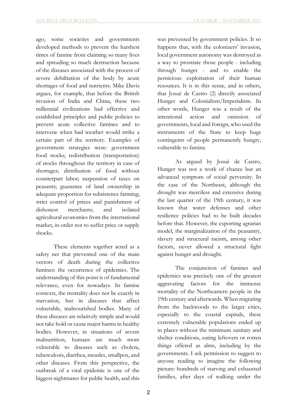ago, some societies and governments developed methods to prevent the harshest times of famine from claiming so many lives and spreading so much destruction because of the diseases associated with the process of severe debilitation of the body by acute shortages of food and nutrients. Mike Davis argues, for example, that before the British invasion of India and China, these two millennial civilizations had effective and established principles and public policies to prevent acute collective famines and to intervene when bad weather would strike a certain part of the territory. Examples of government strategies were: government food stocks; redistribution (transportation) of stocks throughout the territory in case of shortages; distribution of food without counterpart labor; suspension of taxes on peasants; guarantee of land ownership in adequate proportion for subsistence farming; strict control of prices and punishment of dishonest merchants; and isolated agricultural economies from the international market, in order not to suffer price or supply shocks.

These elements together acted as a safety net that prevented one of the main vectors of death during the collective famines: the occurrence of epidemics. The understanding of this point is of fundamental relevance, even for nowadays. In famine contexts, the mortality does not lie exactly in starvation, but in diseases that affect vulnerable, malnourished bodies. Many of these diseases are relatively simple and would not take hold or cause major harms in healthy bodies. However, in situations of severe malnutrition, humans are much more vulnerable to diseases such as cholera, tuberculosis, diarrhea, measles, smallpox, and other diseases. From this perspective, the outbreak of a viral epidemic is one of the biggest nightmares for public health, and this

was prevented by government policies. It so happens that, with the colonizers' invasion, local government autonomy was destroyed as a way to prostrate those people - including through hunger - and to enable the pernicious exploitation of their human resources. It is in this sense, and in others, that Josué de Castro (2) directly associated Hunger and Colonialism/Imperialism. In other words, Hunger was a result of the intentional action and omission of governments, local and foreign, who used the instruments of the State to keep huge contingents of people permanently hungry, vulnerable to famine.

As argued by Josué de Castro, Hunger was not a work of chance but an advanced symptom of social perversity. In the case of the Northeast, although the drought was merciless and extensive during the last quarter of the 19th century, it was known that water defenses and other resilience policies had to be built decades before that. However, the exporting agrarian model, the marginalization of the peasantry, slavery and structural racism, among other factors, never allowed a structural fight against hunger and drought.

The conjunction of famines and epidemics was precisely one of the greatest aggravating factors for the immense mortality of the Northeastern people in the 19th century and afterwards. When migrating from the backwoods to the larger cities, especially to the coastal capitals, these extremely vulnerable populations ended up in places without the minimum sanitary and shelter conditions, eating leftovers or rotten things offered as alms, including by the governments. I ask permission to suggest to anyone reading to imagine the following picture: hundreds of starving and exhausted families, after days of walking under the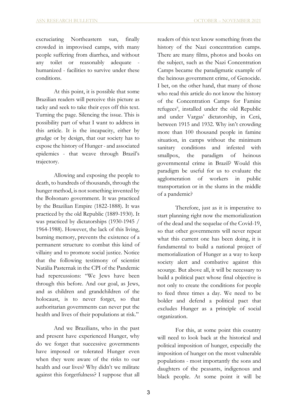excruciating Northeastern sun, finally crowded in improvised camps, with many people suffering from diarrhea, and without any toilet or reasonably adequate humanized - facilities to survive under these conditions.

At this point, it is possible that some Brazilian readers will perceive this picture as tacky and seek to take their eyes off this text. Turning the page. Silencing the issue. This is possibility part of what I want to address in this article. It is the incapacity, either by grudge or by design, that our society has to expose the history of Hunger - and associated epidemics - that weave through Brazil's trajectory.

Allowing and exposing the people to death, to hundreds of thousands, through the hunger method, is not something invented by the Bolsonaro government. It was practiced by the Brazilian Empire (1822-1888). It was practiced by the old Republic (1889-1930). It was practiced by dictatorships (1930-1945 / 1964-1988). However, the lack of this living, burning memory, prevents the existence of a permanent structure to combat this kind of villainy and to promote social justice. Notice that the following testimony of scientist Natália Pasternak in the CPI of the Pandemic had repercussions: "We Jews have been through this before. And our goal, as Jews, and as children and grandchildren of the holocaust, is to never forget, so that authoritarian governments can never put the health and lives of their populations at risk."

And we Brazilians, who in the past and present have experienced Hunger, why do we forget that successive governments have imposed or tolerated Hunger even when they were aware of the risks to our health and our lives? Why didn't we militate against this forgetfulness? I suppose that all readers of this text know something from the history of the Nazi concentration camps. There are many films, photos and books on the subject, such as the Nazi Concentration Camps became the paradigmatic example of the heinous government crime, of Genocide. I bet, on the other hand, that many of those who read this article do not know the history of the Concentration Camps for Famine refugees<sup>ii</sup>, installed under the old Republic and under Vargas' dictatorship, in Cerá, between 1915 and 1932. Why isn't crowding more than 100 thousand people in famine situation, in camps without the minimum sanitary conditions and infested with smallpox, the paradigm of heinous governmental crime in Brazil? Would this paradigm be useful for us to evaluate the agglomeration of workers in public transportation or in the slums in the middle of a pandemic?

Therefore, just as it is imperative to start planning right now the memorialization of the dead and the sequelae of the Covid-19, so that other governments will never repeat what this current one has been doing, it is fundamental to build a national project of memorialization of Hunger as a way to keep society alert and combative against this scourge. But above all, it will be necessary to build a political pact whose final objective is not only to create the conditions for people to feed three times a day. We need to be bolder and defend a political pact that excludes Hunger as a principle of social organization.

For this, at some point this country will need to look back at the historical and political imposition of hunger, especially the imposition of hunger on the most vulnerable populations - most importantly the sons and daughters of the peasants, indigenous and black people. At some point it will be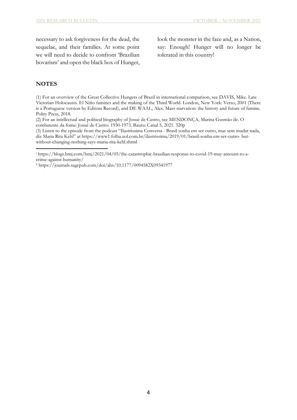necessary to ask forgiveness for the dead, the sequelae, and their families. At some point we will need to decide to confront 'Brazilian bovarism' and open the black box of Hunger, look the monster in the face and, as a Nation, say: Enough! Hunger will no longer be tolerated in this country!

# **NOTES**

-

(1) For an overview of the Great Collective Hungers of Brazil in international comparison, see DAVIS, Mike. Late Victorian Holocausts. El Niño famines and the making of the Third World. London, New York: Verso, 2001 (There is a Portuguese version by Editora Record), and DE WAAL, Alex. Mass starvation: the history and future of famine. Polity Press, 2018.

(2) For an intellectual and political biography of Josué de Castro, see MENDONÇA, Marina Gusmão de. O combatente da fome: Josué de Castro: 1930-1973. Bauru: Canal 5, 2021. 320p

(3) Listen to the episode from the podcast "Ilustríssima Conversa - Brasil sonha em ser outro, mas sem mudar nada, diz Maria Rita Kehl" at https://www1.folha.uol.com.br/ilustrissima/2019/01/brasil-sonha-em-ser-outro- butwithout-changing-nothing-says-maria-rita-kehl.shtml

ii https://journals.sagepub.com/doi/abs/10.1177/0094582X09341977

<sup>i</sup> https://blogs.bmj.com/bmj/2021/04/05/the-catastrophic-brazilian-response-to-covid-19-may-amount-to-acrime-against-humanity/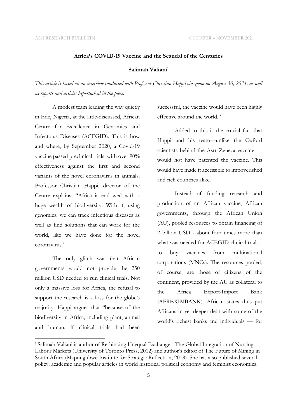#### **Africa's COVID-19 Vaccine and the Scandal of the Centuries**

# **Salimah Valiani1**

*This article is based on an interview conducted with Professor Christian Happi via zoom on August 30, 2021, as well as reports and articles hyperlinked in the piece.* 

A modest team leading the way quietly in Ede, Nigeria, at the little-discussed, African Centre for Excellence in Genomics and Infectious Diseases (ACEGID). This is how and where, by September 2020, a Covid-19 vaccine passed preclinical trials, with over 90% effectiveness against the first and second variants of the novel coronavirus in animals. Professor Christian Happi, director of the Centre explains: "Africa is endowed with a huge wealth of biodiversity. With it, using genomics, we can track infectious diseases as well as find solutions that can work for the world, like we have done for the novel coronavirus."

The only glitch was that African governments would not provide the 250 million USD needed to run clinical trials. Not only a massive loss for Africa, the refusal to support the research is a loss for the globe's majority. Happi argues that "because of the biodiversity in Africa, including plant, animal and human, if clinical trials had been

successful, the vaccine would have been highly effective around the world."

Added to this is the crucial fact that Happi and his team—unlike the Oxford scientists behind the AstraZeneca vaccine would not have patented the vaccine. This would have made it accessible to impoverished and rich countries alike.

Instead of funding research and production of an African vaccine, African governments, through the African Union (AU), pooled resources to obtain financing of 2 billion USD - about four times more than what was needed for ACEGID clinical trials to buy vaccines from multinational corporations (MNCs). The resources pooled, of course, are those of citizens of the continent, provided by the AU as collateral to the Africa Export-Import Bank (AFREXIMBANK). African states thus put Africans in yet deeper debt with some of the world's richest banks and individuals — for

 <sup>1</sup> Salimah Valiani is author of Rethinking Unequal Exchange - The Global Integration of Nursing Labour Markets (University of Toronto Press, 2012) and author's editor of The Future of Mining in South Africa (Mapungubwe Institute for Strategic Reflection, 2018). She has also published several policy, academic and popular articles in world historical political economy and feminist economics.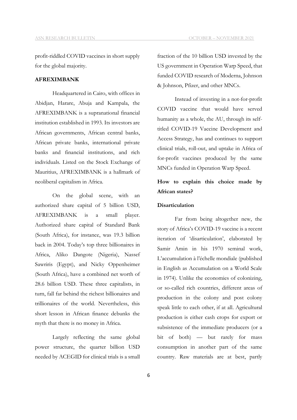profit-riddled COVID vaccines in short supply for the global majority.

## **AFREXIMBANK**

Headquartered in Cairo, with offices in Abidjan, Harare, Abuja and Kampala, the AFREXIMBANK is a supranational financial institution established in 1993. Its investors are African governments, African central banks, African private banks, international private banks and financial institutions, and rich individuals. Listed on the Stock Exchange of Mauritius, AFREXIMBANK is a hallmark of neoliberal capitalism in Africa.

On the global scene, with an authorized share capital of 5 billion USD, AFREXIMBANK is a small player. Authorized share capital of Standard Bank (South Africa), for instance, was 19.3 billion back in 2004. Today's top three billionaires in Africa, Aliko Dangote (Nigeria), Nassef Sawriris (Egypt), and Nicky Oppenheimer (South Africa), have a combined net worth of 28.6 billion USD. These three capitalists, in turn, fall far behind the richest billionaires and trillionaires of the world. Nevertheless, this short lesson in African finance debunks the myth that there is no money in Africa.

Largely reflecting the same global power structure, the quarter billion USD needed by ACEGID for clinical trials is a small fraction of the 10 billion USD invested by the US government in Operation Warp Speed, that funded COVID research of Moderna, Johnson & Johnson, Pfizer, and other MNCs.

Instead of investing in a not-for-profit COVID vaccine that would have served humanity as a whole, the AU, through its selftitled COVID-19 Vaccine Development and Access Strategy, has and continues to support clinical trials, roll-out, and uptake in Africa of for-profit vaccines produced by the same MNCs funded in Operation Warp Speed.

# **How to explain this choice made by African states?**

#### **Disarticulation**

Far from being altogether new, the story of Africa's COVID-19 vaccine is a recent iteration of 'disarticulation', elaborated by Samir Amin in his 1970 seminal work, L'accumulation à l'échelle mondiale (published in English as Accumulation on a World Scale in 1974). Unlike the economies of colonizing, or so-called rich countries, different areas of production in the colony and post colony speak little to each other, if at all. Agricultural production is either cash crops for export or subsistence of the immediate producers (or a bit of both) — but rarely for mass consumption in another part of the same country. Raw materials are at best, partly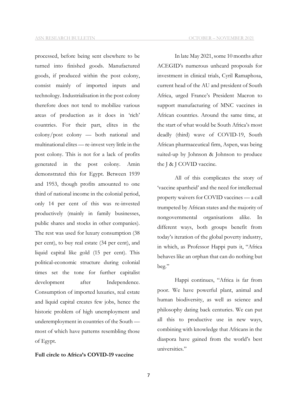ASN RESEARCH BULLETIN OCTOBER – NOVEMBER 2021

processed, before being sent elsewhere to be turned into finished goods. Manufactured goods, if produced within the post colony, consist mainly of imported inputs and technology. Industrialisation in the post colony therefore does not tend to mobilize various areas of production as it does in 'rich' countries. For their part, elites in the colony/post colony — both national and multinational elites — re-invest very little in the post colony. This is not for a lack of profits generated in the post colony. Amin demonstrated this for Egypt. Between 1939 and 1953, though profits amounted to one third of national income in the colonial period, only 14 per cent of this was re-invested productively (mainly in family businesses, public shares and stocks in other companies). The rest was used for luxury consumption (38 per cent), to buy real estate (34 per cent), and liquid capital like gold (15 per cent). This political-economic structure during colonial times set the tone for further capitalist development after Independence. Consumption of imported luxuries, real estate and liquid capital creates few jobs, hence the historic problem of high unemployment and underemployment in countries of the South most of which have patterns resembling those of Egypt.

# **Full circle to Africa's COVID-19 vaccine**

In late May 2021, some 10 months after ACEGID's numerous unheard proposals for investment in clinical trials, Cyril Ramaphosa, current head of the AU and president of South Africa, urged France's President Macron to support manufacturing of MNC vaccines in African countries. Around the same time, at the start of what would be South Africa's most deadly (third) wave of COVID-19, South African pharmaceutical firm, Aspen, was being suited-up by Johnson & Johnson to produce the J & J COVID vaccine.

All of this complicates the story of 'vaccine apartheid' and the need for intellectual property waivers for COVID vaccines — a call trumpeted by African states and the majority of nongovernmental organisations alike. In different ways, both groups benefit from today's iteration of the global poverty industry, in which, as Professor Happi puts it, "Africa behaves like an orphan that can do nothing but beg."

Happi continues, "Africa is far from poor. We have powerful plant, animal and human biodiversity, as well as science and philosophy dating back centuries. We can put all this to productive use in new ways, combining with knowledge that Africans in the diaspora have gained from the world's best universities."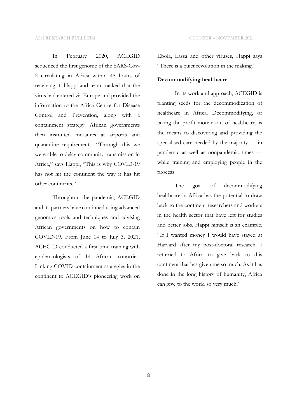In February 2020, ACEGID sequenced the first genome of the SARS-Cov-2 circulating in Africa within 48 hours of receiving it. Happi and team tracked that the virus had entered via Europe and provided the information to the Africa Centre for Disease Control and Prevention, along with a containment strategy. African governments then instituted measures at airports and quarantine requirements. "Through this we were able to delay community transmission in Africa," says Happi, "This is why COVID-19 has not hit the continent the way it has hit other continents."

Throughout the pandemic, ACEGID and its partners have continued using advanced genomics tools and techniques and advising African governments on how to contain COVID-19. From June 14 to July 3, 2021, ACEGID conducted a first time training with epidemiologists of 14 African countries. Linking COVID containment strategies in the continent to ACEGID's pioneering work on

Ebola, Lassa and other viruses, Happi says "There is a quiet revolution in the making."

#### **Decommodifying healthcare**

In its work and approach, ACEGID is planting seeds for the decommodication of healthcare in Africa. Decommodifying, or taking the profit motive out of healthcare, is the means to discovering and providing the specialised care needed by the majority — in pandemic as well as nonpandemic times while training and employing people in the process.

The goal of decommodifying healthcare in Africa has the potential to draw back to the continent researchers and workers in the health sector that have left for studies and better jobs. Happi himself is an example. "If I wanted money I would have stayed at Harvard after my post-doctoral research. I returned to Africa to give back to this continent that has given me so much. As it has done in the long history of humanity, Africa can give to the world so very much."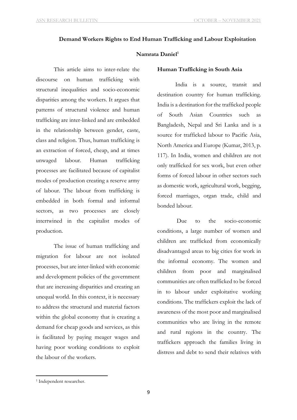# **Demand Workers Rights to End Human Trafficking and Labour Exploitation**

# Namrata Daniel<sup>1</sup>

This article aims to inter-relate the discourse on human trafficking with structural inequalities and socio-economic disparities among the workers. It argues that patterns of structural violence and human trafficking are inter-linked and are embedded in the relationship between gender, caste, class and religion. Thus, human trafficking is an extraction of forced, cheap, and at times unwaged labour. Human trafficking processes are facilitated because of capitalist modes of production creating a reserve army of labour. The labour from trafficking is embedded in both formal and informal sectors, as two processes are closely intertwined in the capitalist modes of production.

The issue of human trafficking and migration for labour are not isolated processes, but are inter-linked with economic and development policies of the government that are increasing disparities and creating an unequal world. In this context, it is necessary to address the structural and material factors within the global economy that is creating a demand for cheap goods and services, as this is facilitated by paying meager wages and having poor working conditions to exploit the labour of the workers.

## **Human Trafficking in South Asia**

 India is a source, transit and destination country for human trafficking. India is a destination for the trafficked people of South Asian Countries such as Bangladesh, Nepal and Sri Lanka and is a source for trafficked labour to Pacific Asia, North America and Europe (Kumar, 2013, p. 117). In India, women and children are not only trafficked for sex work, but even other forms of forced labour in other sectors such as domestic work, agricultural work, begging, forced marriages, organ trade, child and bonded labour.

 Due to the socio-economic conditions, a large number of women and children are trafficked from economically disadvantaged areas to big cities for work in the informal economy. The women and children from poor and marginalised communities are often trafficked to be forced in to labour under exploitative working conditions. The traffickers exploit the lack of awareness of the most poor and marginalised communities who are living in the remote and rural regions in the country. The traffickers approach the families living in distress and debt to send their relatives with

1

<sup>1</sup> Independent researcher.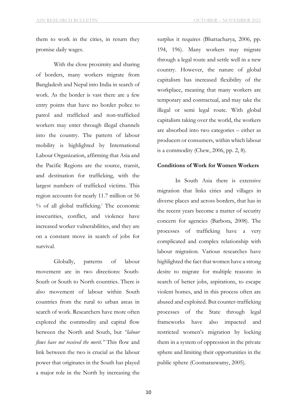them to work in the cities, in return they promise daily wages.

With the close proximity and sharing of borders, many workers migrate from Bangladesh and Nepal into India in search of work. As the border is vast there are a few entry points that have no border police to patrol and trafficked and non-trafficked workers may enter through illegal channels into the country. The pattern of labour mobility is highlighted by International Labour Organization, affirming that Asia and the Pacific Regions are the source, transit, and destination for trafficking, with the largest numbers of trafficked victims. This region accounts for nearly 11.7 million or 56 % of all global trafficking. <sup>i</sup> The economic insecurities, conflict, and violence have increased worker vulnerabilities, and they are on a constant move in search of jobs for survival.

Globally, patterns of labour movement are in two directions: South-South or South to North countries. There is also movement of labour within South countries from the rural to urban areas in search of work. Researchers have more often explored the commodity and capital flow between the North and South, but *"labour flows have not received the merit."* This flow and link between the two is crucial as the labour power that originates in the South has played a major role in the North by increasing the

surplus it requires (Bhattacharya, 2006, pp. 194, 196). Many workers may migrate through a legal route and settle well in a new country. However, the nature of global capitalism has increased flexibility of the workplace, meaning that many workers are temporary and contractual, and may take the illegal or semi legal route. With global capitalism taking over the world, the workers are absorbed into two categories – either as producers or consumers, within which labour is a commodity (Chew, 2006, pp. 2, 8).

## **Conditions of Work for Women Workers**

In South Asia there is extensive migration that links cities and villages in diverse places and across borders, that has in the recent years become a matter of security concern for agencies (Barbora, 2008). The processes of trafficking have a very complicated and complex relationship with labour migration. Various researches have highlighted the fact that women have a strong desire to migrate for multiple reasons: in search of better jobs, aspirations, to escape violent homes, and in this process often are abused and exploited. But counter-trafficking processes of the State through legal frameworks have also impacted and restricted women's migration by locking them in a system of oppression in the private sphere and limiting their opportunities in the public sphere (Coomaraswamy, 2005).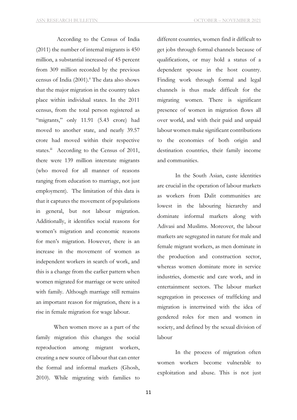According to the Census of India (2011) the number of internal migrants is 450 million, a substantial increased of 45 percent from 309 million recorded by the previous census of India  $(2001).$ <sup>ii</sup> The data also shows that the major migration in the country takes place within individual states. In the 2011 census, from the total person registered as "migrants," only 11.91 (5.43 crore) had moved to another state, and nearly 39.57 crore had moved within their respective states.<sup>iii</sup> According to the Census of 2011, there were 139 million interstate migrants (who moved for all manner of reasons ranging from education to marriage, not just employment). The limitation of this data is that it captures the movement of populations in general, but not labour migration. Additionally, it identifies social reasons for women's migration and economic reasons for men's migration. However, there is an increase in the movement of women as independent workers in search of work, and this is a change from the earlier pattern when women migrated for marriage or were united with family. Although marriage still remains an important reason for migration, there is a rise in female migration for wage labour.

 When women move as a part of the family migration this changes the social reproduction among migrant workers, creating a new source of labour that can enter the formal and informal markets (Ghosh, 2010). While migrating with families to

different countries, women find it difficult to get jobs through formal channels because of qualifications, or may hold a status of a dependent spouse in the host country. Finding work through formal and legal channels is thus made difficult for the migrating women. There is significant presence of women in migration flows all over world, and with their paid and unpaid labour women make significant contributions to the economies of both origin and destination countries, their family income and communities.

In the South Asian, caste identities are crucial in the operation of labour markets as workers from Dalit communities are lowest in the labouring hierarchy and dominate informal markets along with Adivasi and Muslims. Moreover, the labour markets are segregated in nature for male and female migrant workers, as men dominate in the production and construction sector, whereas women dominate more in service industries, domestic and care work, and in entertainment sectors. The labour market segregation in processes of trafficking and migration is intertwined with the idea of gendered roles for men and women in society, and defined by the sexual division of labour.

In the process of migration often women workers become vulnerable to exploitation and abuse. This is not just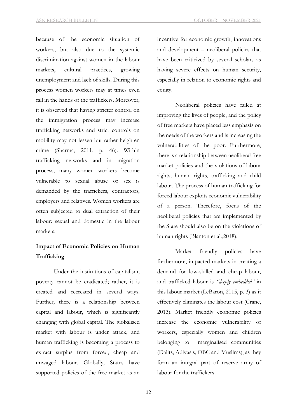because of the economic situation of workers, but also due to the systemic discrimination against women in the labour markets, cultural practices, growing unemployment and lack of skills. During this process women workers may at times even fall in the hands of the traffickers. Moreover, it is observed that having stricter control on the immigration process may increase trafficking networks and strict controls on mobility may not lessen but rather heighten crime (Sharma, 2011, p. 46). Within trafficking networks and in migration process, many women workers become vulnerable to sexual abuse or sex is demanded by the traffickers, contractors, employers and relatives. Women workers are often subjected to dual extraction of their labour: sexual and domestic in the labour markets.

# **Impact of Economic Policies on Human Trafficking**

Under the institutions of capitalism, poverty cannot be eradicated; rather, it is created and recreated in several ways. Further, there is a relationship between capital and labour, which is significantly changing with global capital. The globalised market with labour is under attack, and human trafficking is becoming a process to extract surplus from forced, cheap and unwaged labour. Globally, States have supported policies of the free market as an

incentive for economic growth, innovations and development – neoliberal policies that have been criticized by several scholars as having severe effects on human security, especially in relation to economic rights and equity.

Neoliberal policies have failed at improving the lives of people, and the policy of free markets have placed less emphasis on the needs of the workers and is increasing the vulnerabilities of the poor. Furthermore, there is a relationship between neoliberal free market policies and the violations of labour rights, human rights, trafficking and child labour. The process of human trafficking for forced labour exploits economic vulnerability of a person. Therefore, focus of the neoliberal policies that are implemented by the State should also be on the violations of human rights (Blanton et al.,2018).

Market friendly policies have furthermore, impacted markets in creating a demand for low-skilled and cheap labour, and trafficked labour is *"deeply embedded"* in this labour market (LeBaron, 2015, p. 3) as it effectively eliminates the labour cost (Crane, 2013). Market friendly economic policies increase the economic vulnerability of workers, especially women and children belonging to marginalised communities (Dalits, Adivasis, OBC and Muslims), as they form an integral part of reserve army of labour for the traffickers.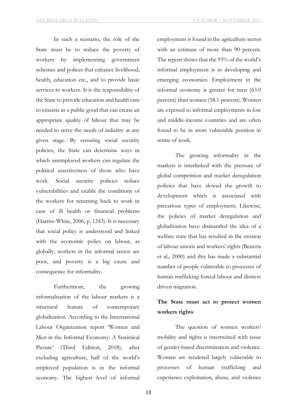In such a scenario, the role of the State must be to reduce the poverty of workers by implementing government schemes and polices that enhance livelihood, health, education etc., and to provide basic services to workers. It is the responsibility of the State to provide education and health care to citizens as a public good that can create an appropriate quality of labour that may be needed to serve the needs of industry at any given stage. By ensuring social security policies, the State can determine ways in which unemployed workers can regulate the political assertiveness of those who have work. Social security policies reduce vulnerabilities and enable the conditions of the workers for returning back to work in case of ill health or financial problems (Harriss-White, 2006, p. 1243). It is necessary that social policy is understood and linked with the economic policy on labour, as globally, workers in the informal sector are poor, and poverty is a big cause and consequence for informality.

Furthermore, the growing informalisation of the labour markets is a structural feature of contemporary globalization. According to the International Labour Organization report 'Women and Men in the Informal Economy: A Statistical Picture' (Third Edition, 2018), after excluding agriculture, half of the world's employed population is in the informal economy. The highest level of informal

employment is found in the agriculture sector with an estimate of more than 90 percent. The report shows that the 93% of the world's informal employment is in developing and emerging economies. Employment in the informal economy is greater for men (63.0 percent) than women (58.1 percent). Women are exposed to informal employments in low and middle-income countries and are often found to be in more vulnerable position in terms of work.

The growing informality in the markets is interlinked with the pressure of global competition and market deregulation policies that have slowed the growth to development which is associated with precarious types of employment. Likewise, the policies of market deregulation and globalisation have dismantled the idea of a welfare state that has resulted in the erosion of labour unions and workers' rights (Beneria et al., 2000) and this has made a substantial number of people vulnerable to processes of human trafficking forced labour and distress driven migration.

# **The State must act to protect women workers rights**

The question of women workers' mobility and rights is intertwined with issue of gender-based discrimination and violence. Women are rendered largely vulnerable to processes of human trafficking and experience exploitation, abuse, and violence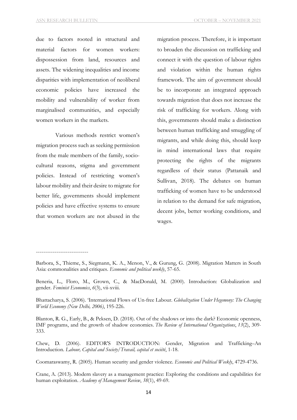due to factors rooted in structural and material factors for women workers: dispossession from land, resources and assets. The widening inequalities and income disparities with implementation of neoliberal economic policies have increased the mobility and vulnerability of worker from marginalised communities, and especially women workers in the markets.

Various methods restrict women's migration process such as seeking permission from the male members of the family, sociocultural reasons, stigma and government policies. Instead of restricting women's labour mobility and their desire to migrate for better life, governments should implement policies and have effective systems to ensure that women workers are not abused in the

----------------------------

migration process. Therefore, it is important to broaden the discussion on trafficking and connect it with the question of labour rights and violation within the human rights framework. The aim of government should be to incorporate an integrated approach towards migration that does not increase the risk of trafficking for workers. Along with this, governments should make a distinction between human trafficking and smuggling of migrants, and while doing this, should keep in mind international laws that require protecting the rights of the migrants regardless of their status (Pattanaik and Sullivan, 2018). The debates on human trafficking of women have to be understood in relation to the demand for safe migration, decent jobs, better working conditions, and wages.

Barbora, S., Thieme, S., Siegmann, K. A., Menon, V., & Gurung, G. (2008). Migration Matters in South Asia: commonalities and critiques. *Economic and political weekly*, 57-65.

Beneria, L., Floro, M., Grown, C., & MacDonald, M. (2000). Introduction: Globalization and gender. *Feminist Economics*, *6*(3), vii-xviii.

Bhattacharya, S. (2006). 'International Flows of Un-free Labour. *Globalization Under Hegemony: The Changing World Economy (New Delhi, 2006)*, 195-226.

Blanton, R. G., Early, B., & Peksen, D. (2018). Out of the shadows or into the dark? Economic openness, IMF programs, and the growth of shadow economies. *The Review of International Organizations*, *13*(2), 309- 333.

Chew, D. (2006). EDITOR'S INTRODUCTION: Gender, Migration and Trafficking–An Introduction. *Labour, Capital and Society/Travail, capital et société*, 1-18.

Coomaraswamy, R. (2005). Human security and gender violence. *Economic and Political Weekly*, 4729-4736.

Crane, A. (2013). Modern slavery as a management practice: Exploring the conditions and capabilities for human exploitation. *Academy of Management Review*, *38*(1), 49-69.